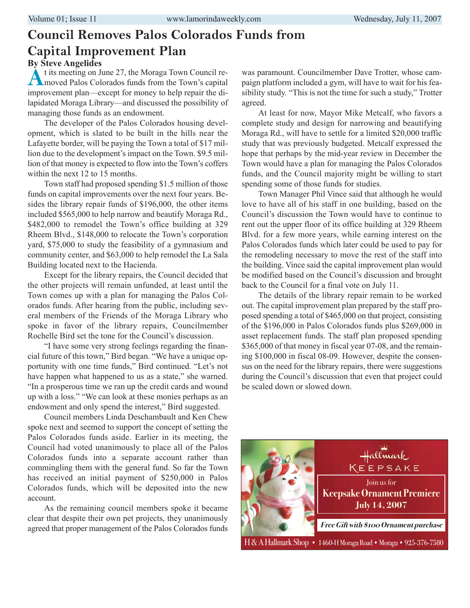#### **Council Removes Palos Colorados Funds from Capital Improvement Plan By Steve Angelides**

At its meeting on June 27, the Moraga Town Council re-<br>moved Palos Colorados funds from the Town's capital improvement plan—except for money to help repair the dilapidated Moraga Library—and discussed the possibility of managing those funds as an endowment.

The developer of the Palos Colorados housing development, which is slated to be built in the hills near the Lafayette border, will be paying the Town a total of \$17 million due to the development's impact on the Town. \$9.5 million of that money is expected to flow into the Town's coffers within the next 12 to 15 months.

Town staff had proposed spending \$1.5 million of those funds on capital improvements over the next four years. Besides the library repair funds of \$196,000, the other items included \$565,000 to help narrow and beautify Moraga Rd., \$482,000 to remodel the Town's office building at 329 Rheem Blvd., \$148,000 to relocate the Town's corporation yard, \$75,000 to study the feasibility of a gymnasium and community center, and \$63,000 to help remodel the La Sala Building located next to the Hacienda.

Except for the library repairs, the Council decided that the other projects will remain unfunded, at least until the Town comes up with a plan for managing the Palos Colorados funds. After hearing from the public, including several members of the Friends of the Moraga Library who spoke in favor of the library repairs, Councilmember Rochelle Bird set the tone for the Council's discussion.

"I have some very strong feelings regarding the financial future of this town," Bird began. "We have a unique opportunity with one time funds," Bird continued. "Let's not have happen what happened to us as a state," she warned. "In a prosperous time we ran up the credit cards and wound up with a loss." "We can look at these monies perhaps as an endowment and only spend the interest," Bird suggested.

Council members Linda Deschambault and Ken Chew spoke next and seemed to support the concept of setting the Palos Colorados funds aside. Earlier in its meeting, the Council had voted unanimously to place all of the Palos Colorados funds into a separate account rather than commingling them with the general fund. So far the Town has received an initial payment of \$250,000 in Palos Colorados funds, which will be deposited into the new account.

As the remaining council members spoke it became clear that despite their own pet projects, they unanimously agreed that proper management of the Palos Colorados funds

was paramount. Councilmember Dave Trotter, whose campaign platform included a gym, will have to wait for his feasibility study. "This is not the time for such a study," Trotter agreed.

At least for now, Mayor Mike Metcalf, who favors a complete study and design for narrowing and beautifying Moraga Rd., will have to settle for a limited \$20,000 traffic study that was previously budgeted. Metcalf expressed the hope that perhaps by the mid-year review in December the Town would have a plan for managing the Palos Colorados funds, and the Council majority might be willing to start spending some of those funds for studies.

Town Manager Phil Vince said that although he would love to have all of his staff in one building, based on the Council's discussion the Town would have to continue to rent out the upper floor of its office building at 329 Rheem Blvd. for a few more years, while earning interest on the Palos Colorados funds which later could be used to pay for the remodeling necessary to move the rest of the staff into the building. Vince said the capital improvement plan would be modified based on the Council's discussion and brought back to the Council for a final vote on July 11.

The details of the library repair remain to be worked out. The capital improvement plan prepared by the staff proposed spending a total of \$465,000 on that project, consisting of the \$196,000 in Palos Colorados funds plus \$269,000 in asset replacement funds. The staff plan proposed spending \$365,000 of that money in fiscal year 07-08, and the remaining \$100,000 in fiscal 08-09. However, despite the consensus on the need for the library repairs, there were suggestions during the Council's discussion that even that project could be scaled down or slowed down.

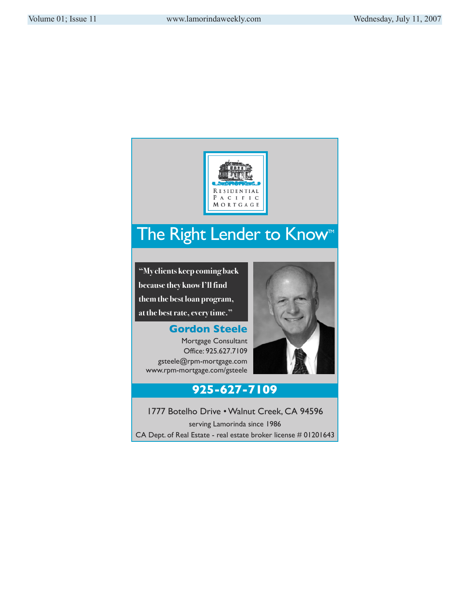

### The Right Lender to Know<sup>™</sup>

**"My clients keep coming back because they know I'll find them the best loan program, at the best rate, every time."**

**Gordon Steele** Mortgage Consultant Office: 925.627.7109 gsteele@rpm-mortgage.com www.rpm-mortgage.com/gsteele



#### **925-627-7109**

1777 Botelho Drive • Walnut Creek, CA 94596 serving Lamorinda since 1986 CA Dept. of Real Estate - real estate broker license # 01201643